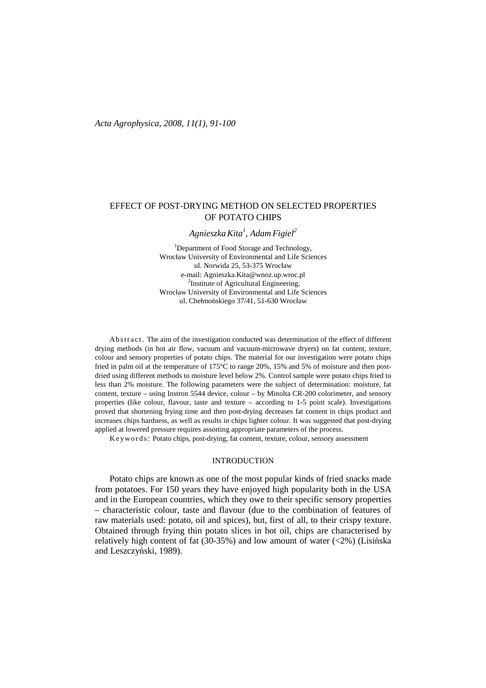# EFFECT OF POST-DRYING METHOD ON SELECTED PROPERTIES OF POTATO CHIPS

*AgnieszkaKita<sup>1</sup> , Adam Figiel<sup>2</sup>* 

<sup>1</sup>Department of Food Storage and Technology, Wrocław University of Environmental and Life Sciences ul. Norwida 25, 53-375 Wrocław e-mail: Agnieszka.Kita@wnoz.up.wroc.pl <sup>2</sup>Institute of Agricultural Engineering, Wrocław University of Environmental and Life Sciences ul. Chełmońskiego 37/41, 51-630 Wrocław

Ab s t r a c t. The aim of the investigation conducted was determination of the effect of different drying methods (in hot air flow, vacuum and vacuum-microwave dryers) on fat content, texture, colour and sensory properties of potato chips. The material for our investigation were potato chips fried in palm oil at the temperature of 175°C to range 20%, 15% and 5% of moisture and then postdried using different methods to moisture level below 2%. Control sample were potato chips fried to less than 2% moisture. The following parameters were the subject of determination: moisture, fat content, texture – using Instron 5544 device, colour – by Minolta CR-200 colorimeter, and sensory properties (like colour, flavour, taste and texture – according to 1-5 point scale). Investigations proved that shortening frying time and then post-drying decreases fat content in chips product and increases chips hardness, as well as results in chips lighter colour. It was suggested that post-drying applied at lowered pressure requires assorting appropriate parameters of the process.

Keywords: Potato chips, post-drying, fat content, texture, colour, sensory assessment

### INTRODUCTION

Potato chips are known as one of the most popular kinds of fried snacks made from potatoes. For 150 years they have enjoyed high popularity both in the USA and in the European countries, which they owe to their specific sensory properties – characteristic colour, taste and flavour (due to the combination of features of raw materials used: potato, oil and spices), but, first of all, to their crispy texture. Obtained through frying thin potato slices in hot oil, chips are characterised by relatively high content of fat  $(30-35%)$  and low amount of water  $(<2%)$  (Lisińska and Leszczyński, 1989).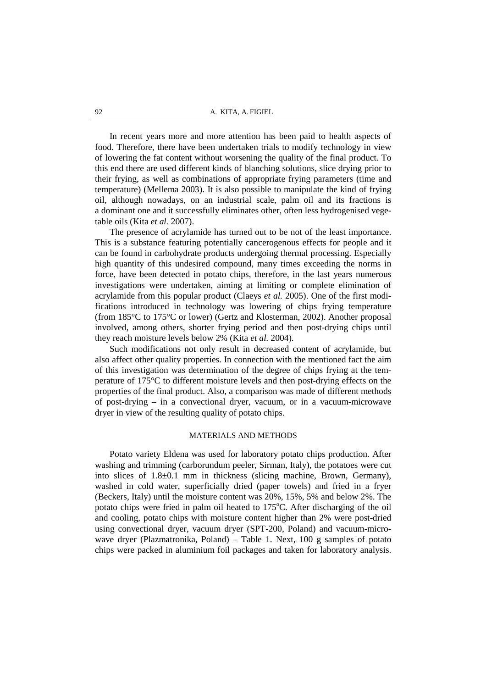In recent years more and more attention has been paid to health aspects of food. Therefore, there have been undertaken trials to modify technology in view of lowering the fat content without worsening the quality of the final product. To this end there are used different kinds of blanching solutions, slice drying prior to their frying, as well as combinations of appropriate frying parameters (time and temperature) (Mellema 2003). It is also possible to manipulate the kind of frying oil, although nowadays, on an industrial scale, palm oil and its fractions is a dominant one and it successfully eliminates other, often less hydrogenised vegetable oils (Kita *et al.* 2007).

The presence of acrylamide has turned out to be not of the least importance. This is a substance featuring potentially cancerogenous effects for people and it can be found in carbohydrate products undergoing thermal processing. Especially high quantity of this undesired compound, many times exceeding the norms in force, have been detected in potato chips, therefore, in the last years numerous investigations were undertaken, aiming at limiting or complete elimination of acrylamide from this popular product (Claeys *et al.* 2005). One of the first modifications introduced in technology was lowering of chips frying temperature (from 185°C to 175°C or lower) (Gertz and Klosterman, 2002). Another proposal involved, among others, shorter frying period and then post-drying chips until they reach moisture levels below 2% (Kita *et al.* 2004).

Such modifications not only result in decreased content of acrylamide, but also affect other quality properties. In connection with the mentioned fact the aim of this investigation was determination of the degree of chips frying at the temperature of 175°C to different moisture levels and then post-drying effects on the properties of the final product. Also, a comparison was made of different methods of post-drying – in a convectional dryer, vacuum, or in a vacuum-microwave dryer in view of the resulting quality of potato chips.

### MATERIALS AND METHODS

Potato variety Eldena was used for laboratory potato chips production. After washing and trimming (carborundum peeler, Sirman, Italy), the potatoes were cut into slices of 1.8±0.1 mm in thickness (slicing machine, Brown, Germany), washed in cold water, superficially dried (paper towels) and fried in a fryer (Beckers, Italy) until the moisture content was 20%, 15%, 5% and below 2%. The potato chips were fried in palm oil heated to  $175^{\circ}$ C. After discharging of the oil and cooling, potato chips with moisture content higher than 2% were post-dried using convectional dryer, vacuum dryer (SPT-200, Poland) and vacuum-microwave dryer (Plazmatronika, Poland) – Table 1. Next,  $100 \text{ g}$  samples of potato chips were packed in aluminium foil packages and taken for laboratory analysis.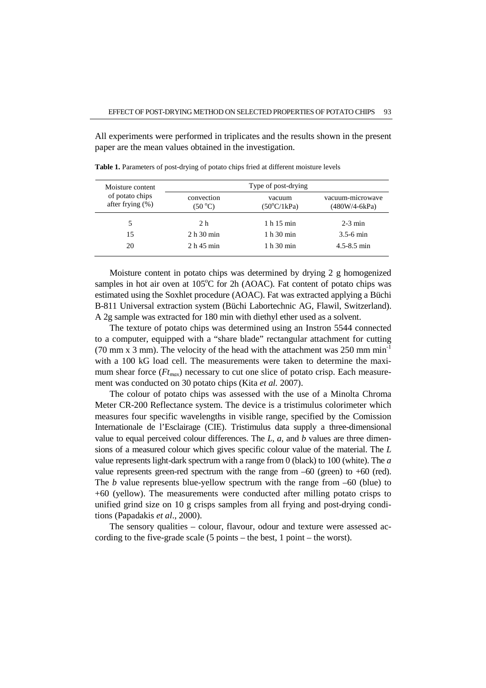All experiments were performed in triplicates and the results shown in the present paper are the mean values obtained in the investigation.

| Moisture content                       | Type of post-drying           |                                       |                                     |  |  |  |  |
|----------------------------------------|-------------------------------|---------------------------------------|-------------------------------------|--|--|--|--|
| of potato chips<br>after frying $(\%)$ | convection<br>$(50^{\circ}C)$ | vacuum<br>$(50^{\circ}C/1\text{kPa})$ | vacuum-microwave<br>$(480W/4-6kPa)$ |  |  |  |  |
| 5                                      | 2 h                           | 1 h 15 min                            | $2-3$ min                           |  |  |  |  |
| 15                                     | 2 h 30 min                    | 1 h 30 min                            | $3.5 - 6$ min                       |  |  |  |  |
| 20                                     | $2h$ 45 min                   | 1 h 30 min                            | $4.5 - 8.5$ min                     |  |  |  |  |

**Table 1.** Parameters of post-drying of potato chips fried at different moisture levels

Moisture content in potato chips was determined by drying 2 g homogenized samples in hot air oven at  $105^{\circ}$ C for 2h (AOAC). Fat content of potato chips was estimated using the Soxhlet procedure (AOAC). Fat was extracted applying a Büchi B-811 Universal extraction system (Büchi Labortechnic AG, Flawil, Switzerland). A 2g sample was extracted for 180 min with diethyl ether used as a solvent.

The texture of potato chips was determined using an Instron 5544 connected to a computer, equipped with a "share blade" rectangular attachment for cutting (70 mm x 3 mm). The velocity of the head with the attachment was  $250 \text{ mm min}^{-1}$ with a 100 kG load cell. The measurements were taken to determine the maximum shear force (*Ftmax*) necessary to cut one slice of potato crisp. Each measurement was conducted on 30 potato chips (Kita *et al.* 2007).

The colour of potato chips was assessed with the use of a Minolta Chroma Meter CR-200 Reflectance system. The device is a tristimulus colorimeter which measures four specific wavelengths in visible range, specified by the Comission Internationale de l'Esclairage (CIE). Tristimulus data supply a three-dimensional value to equal perceived colour differences. The *L*, *a,* and *b* values are three dimensions of a measured colour which gives specific colour value of the material. The *L*  value represents light-dark spectrum with a range from 0 (black) to 100 (white). The *a* value represents green-red spectrum with the range from  $-60$  (green) to  $+60$  (red). The *b* value represents blue-yellow spectrum with the range from –60 (blue) to +60 (yellow). The measurements were conducted after milling potato crisps to unified grind size on 10 g crisps samples from all frying and post-drying conditions (Papadakis *et al*., 2000).

The sensory qualities – colour, flavour, odour and texture were assessed according to the five-grade scale (5 points – the best, 1 point – the worst).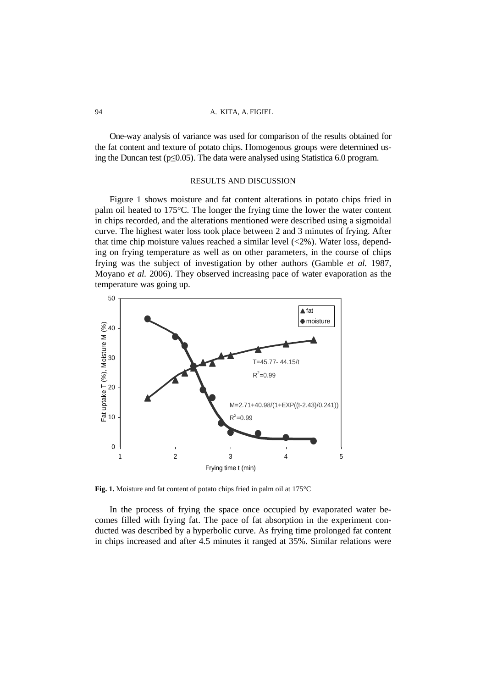One-way analysis of variance was used for comparison of the results obtained for the fat content and texture of potato chips. Homogenous groups were determined using the Duncan test (p≤0.05). The data were analysed using Statistica 6.0 program.

### RESULTS AND DISCUSSION

Figure 1 shows moisture and fat content alterations in potato chips fried in palm oil heated to 175°C. The longer the frying time the lower the water content in chips recorded, and the alterations mentioned were described using a sigmoidal curve. The highest water loss took place between 2 and 3 minutes of frying. After that time chip moisture values reached a similar level (<2%). Water loss, depending on frying temperature as well as on other parameters, in the course of chips frying was the subject of investigation by other authors (Gamble *et al.* 1987, Moyano *et al.* 2006). They observed increasing pace of water evaporation as the temperature was going up.



**Fig. 1.** Moisture and fat content of potato chips fried in palm oil at 175°C

In the process of frying the space once occupied by evaporated water becomes filled with frying fat. The pace of fat absorption in the experiment conducted was described by a hyperbolic curve. As frying time prolonged fat content in chips increased and after 4.5 minutes it ranged at 35%. Similar relations were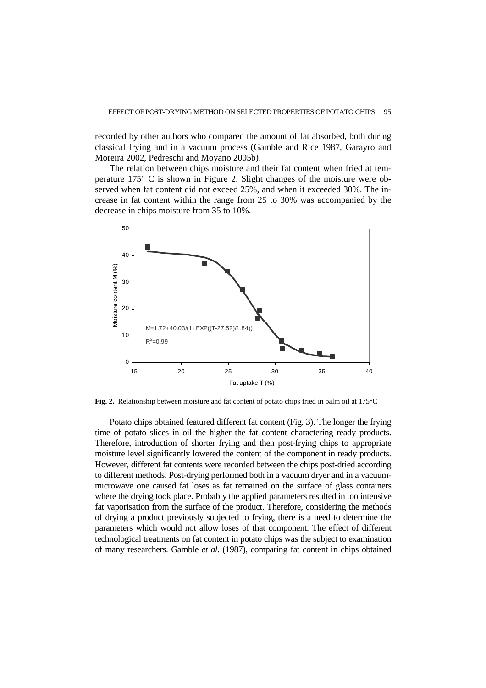recorded by other authors who compared the amount of fat absorbed, both during classical frying and in a vacuum process (Gamble and Rice 1987, Garayro and Moreira 2002, Pedreschi and Moyano 2005b).

The relation between chips moisture and their fat content when fried at temperature 175° C is shown in Figure 2. Slight changes of the moisture were observed when fat content did not exceed 25%, and when it exceeded 30%. The increase in fat content within the range from 25 to 30% was accompanied by the decrease in chips moisture from 35 to 10%.



**Fig. 2.** Relationship between moisture and fat content of potato chips fried in palm oil at 175°C

Potato chips obtained featured different fat content (Fig. 3). The longer the frying time of potato slices in oil the higher the fat content charactering ready products. Therefore, introduction of shorter frying and then post-frying chips to appropriate moisture level significantly lowered the content of the component in ready products. However, different fat contents were recorded between the chips post-dried according to different methods. Post-drying performed both in a vacuum dryer and in a vacuummicrowave one caused fat loses as fat remained on the surface of glass containers where the drying took place. Probably the applied parameters resulted in too intensive fat vaporisation from the surface of the product. Therefore, considering the methods of drying a product previously subjected to frying, there is a need to determine the parameters which would not allow loses of that component. The effect of different technological treatments on fat content in potato chips was the subject to examination of many researchers. Gamble *et al.* (1987), comparing fat content in chips obtained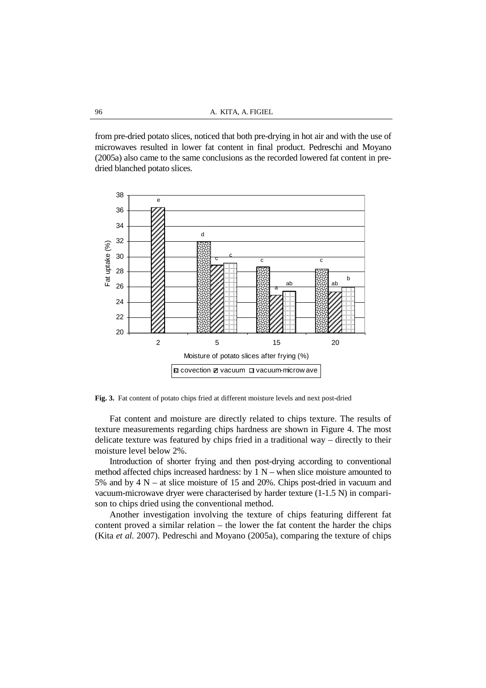from pre-dried potato slices, noticed that both pre-drying in hot air and with the use of microwaves resulted in lower fat content in final product. Pedreschi and Moyano (2005a) also came to the same conclusions as the recorded lowered fat content in predried blanched potato slices.



**Fig. 3.** Fat content of potato chips fried at different moisture levels and next post-dried

Fat content and moisture are directly related to chips texture. The results of texture measurements regarding chips hardness are shown in Figure 4. The most delicate texture was featured by chips fried in a traditional way – directly to their moisture level below 2%.

Introduction of shorter frying and then post-drying according to conventional method affected chips increased hardness: by  $1 N$  – when slice moisture amounted to 5% and by 4 N – at slice moisture of 15 and 20%. Chips post-dried in vacuum and vacuum-microwave dryer were characterised by harder texture (1-1.5 N) in comparison to chips dried using the conventional method.

Another investigation involving the texture of chips featuring different fat content proved a similar relation – the lower the fat content the harder the chips (Kita *et al.* 2007). Pedreschi and Moyano (2005a), comparing the texture of chips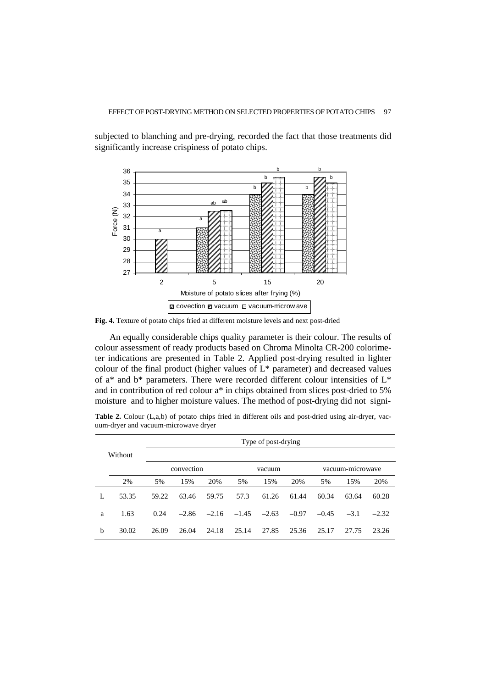

subjected to blanching and pre-drying, recorded the fact that those treatments did significantly increase crispiness of potato chips.

**Fig. 4.** Texture of potato chips fried at different moisture levels and next post-dried

An equally considerable chips quality parameter is their colour. The results of colour assessment of ready products based on Chroma Minolta CR-200 colorimeter indications are presented in Table 2. Applied post-drying resulted in lighter colour of the final product (higher values of L\* parameter) and decreased values of a\* and b\* parameters. There were recorded different colour intensities of L\* and in contribution of red colour a\* in chips obtained from slices post-dried to 5% moisture and to higher moisture values. The method of post-drying did not signi-

|   |         | Type of post-drying |         |         |         |         |                  |         |        |         |  |
|---|---------|---------------------|---------|---------|---------|---------|------------------|---------|--------|---------|--|
|   | Without |                     |         |         |         |         |                  |         |        |         |  |
|   |         | convection          |         |         | vacuum  |         | vacuum-microwave |         |        |         |  |
|   | 2%      | 5%                  | 15%     | 20%     | 5%      | 15%     | 20%              | 5%      | 15%    | 20%     |  |
| L | 53.35   | 59.22               | 63.46   | 59.75   | 57.3    | 61.26   | 61.44            | 60.34   | 63.64  | 60.28   |  |
| a | 1.63    | 0.24                | $-2.86$ | $-2.16$ | $-1.45$ | $-2.63$ | $-0.97$          | $-0.45$ | $-3.1$ | $-2.32$ |  |
| b | 30.02   | 26.09               | 26.04   | 24.18   | 25.14   | 27.85   | 25.36            | 25.17   | 27.75  | 23.26   |  |

**Table 2.** Colour (L,a,b) of potato chips fried in different oils and post-dried using air-dryer, vacuum-dryer and vacuum-microwave dryer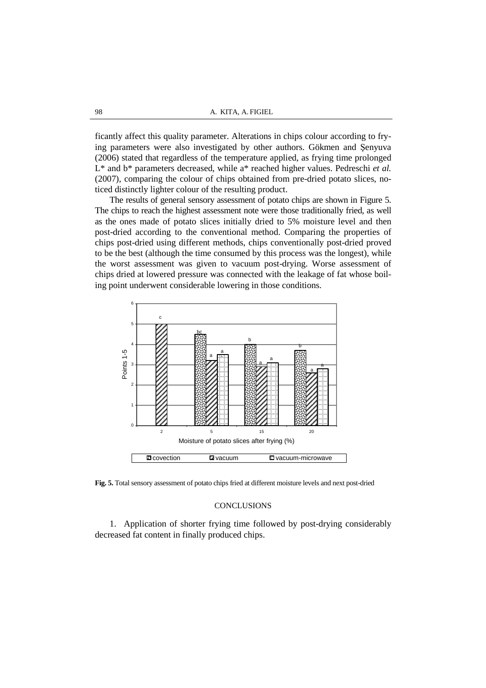ficantly affect this quality parameter. Alterations in chips colour according to frying parameters were also investigated by other authors. Gökmen and Şenyuva (2006) stated that regardless of the temperature applied, as frying time prolonged L\* and b\* parameters decreased, while a\* reached higher values. Pedreschi *et al.* (2007), comparing the colour of chips obtained from pre-dried potato slices, noticed distinctly lighter colour of the resulting product.

The results of general sensory assessment of potato chips are shown in Figure 5. The chips to reach the highest assessment note were those traditionally fried, as well as the ones made of potato slices initially dried to 5% moisture level and then post-dried according to the conventional method. Comparing the properties of chips post-dried using different methods, chips conventionally post-dried proved to be the best (although the time consumed by this process was the longest), while the worst assessment was given to vacuum post-drying. Worse assessment of chips dried at lowered pressure was connected with the leakage of fat whose boiling point underwent considerable lowering in those conditions.



**Fig. 5.** Total sensory assessment of potato chips fried at different moisture levels and next post-dried

## **CONCLUSIONS**

1. Application of shorter frying time followed by post-drying considerably decreased fat content in finally produced chips.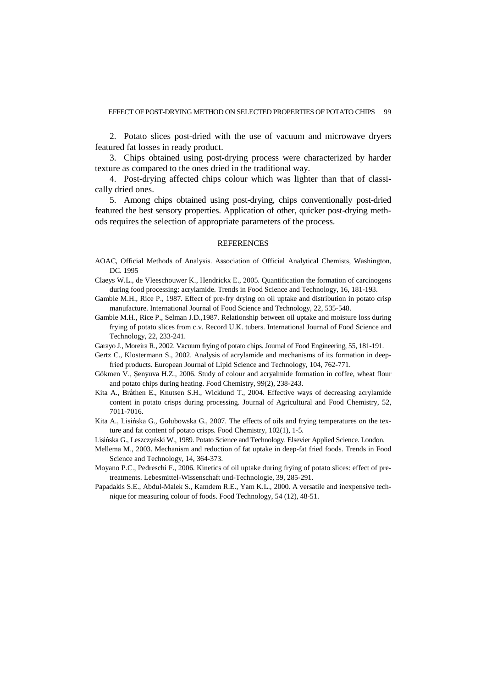2. Potato slices post-dried with the use of vacuum and microwave dryers featured fat losses in ready product.

3. Chips obtained using post-drying process were characterized by harder texture as compared to the ones dried in the traditional way.

4. Post-drying affected chips colour which was lighter than that of classically dried ones.

5. Among chips obtained using post-drying, chips conventionally post-dried featured the best sensory properties. Application of other, quicker post-drying methods requires the selection of appropriate parameters of the process.

#### **REFERENCES**

- AOAC, Official Methods of Analysis. Association of Official Analytical Chemists, Washington, DC. 1995
- Claeys W.L., de Vleeschouwer K., Hendrickx E., 2005. Quantification the formation of carcinogens during food processing: acrylamide. Trends in Food Science and Technology, 16, 181-193.
- Gamble M.H., Rice P., 1987. Effect of pre-fry drying on oil uptake and distribution in potato crisp manufacture. International Journal of Food Science and Technology, 22, 535-548.
- Gamble M.H., Rice P., Selman J.D.,1987. Relationship between oil uptake and moisture loss during frying of potato slices from c.v. Record U.K. tubers. International Journal of Food Science and Technology, 22, 233-241.
- Garayo J., Moreira R., 2002. Vacuum frying of potato chips. Journal of Food Engineering, 55, 181-191.
- Gertz C., Klostermann S., 2002. Analysis of acrylamide and mechanisms of its formation in deepfried products. European Journal of Lipid Science and Technology, 104, 762-771.
- Gökmen V., Şenyuva H.Z., 2006. Study of colour and acryalmide formation in coffee, wheat flour and potato chips during heating. Food Chemistry, 99(2), 238-243.
- Kita A., Bråthen E., Knutsen S.H., Wicklund T., 2004. Effective ways of decreasing acrylamide content in potato crisps during processing. Journal of Agricultural and Food Chemistry, 52, 7011-7016.
- Kita A., Lisińska G., Gołubowska G., 2007. The effects of oils and frying temperatures on the texture and fat content of potato crisps. Food Chemistry, 102(1), 1-5.

Lisińska G., Leszczyński W., 1989. Potato Science and Technology. Elsevier Applied Science. London.

- Mellema M., 2003. Mechanism and reduction of fat uptake in deep-fat fried foods. Trends in Food Science and Technology, 14, 364-373.
- Moyano P.C., Pedreschi F., 2006. Kinetics of oil uptake during frying of potato slices: effect of pretreatments. Lebesmittel-Wissenschaft und-Technologie, 39, 285-291.
- Papadakis S.E., Abdul-Malek S., Kamdem R.E., Yam K.L., 2000. A versatile and inexpensive technique for measuring colour of foods. Food Technology, 54 (12), 48-51.